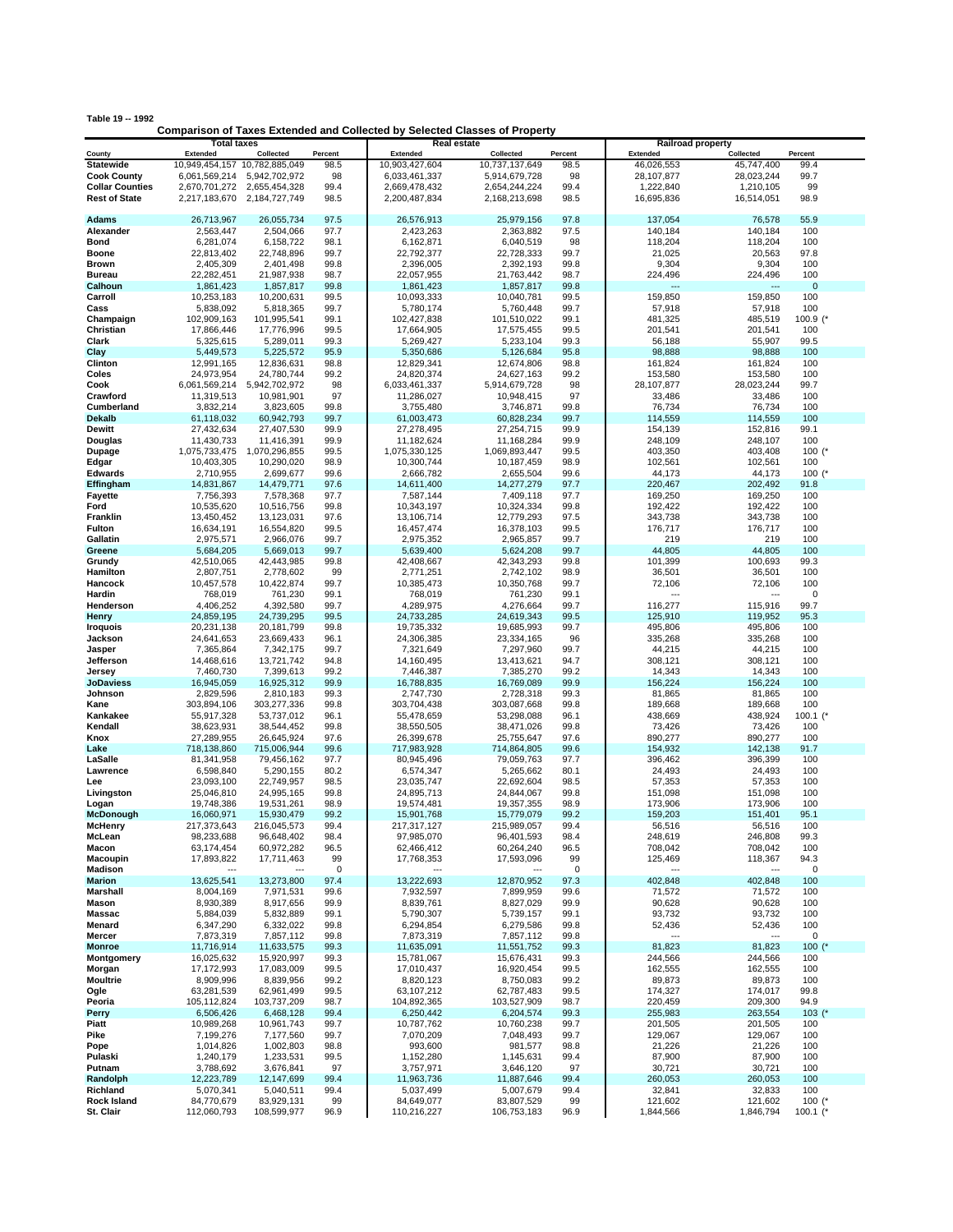|  |  | Table 19 -- 1992 |
|--|--|------------------|
|--|--|------------------|

## **Comparison of Taxes Extended and Collected by Selected Classes of Property**

|                        | <b>Total taxes</b>            |                          |              | <b>Real estate</b><br><b>Railroad property</b> |                          |              |                   |                          |             |
|------------------------|-------------------------------|--------------------------|--------------|------------------------------------------------|--------------------------|--------------|-------------------|--------------------------|-------------|
| County                 | Extended                      | Collected                | Percent      | <b>Extended</b>                                | Collected                | Percent      | Extended          | Collected                | Percent     |
| <b>Statewide</b>       | 10,949,454,157 10,782,885,049 |                          | 98.5         | 10,903,427,604                                 | 10,737,137,649           | 98.5         | 46,026,553        | 45,747,400               | 99.4        |
| <b>Cook County</b>     | 6,061,569,214                 | 5,942,702,972            | 98           | 6,033,461,337                                  | 5,914,679,728            | 98           | 28,107,877        | 28,023,244               | 99.7        |
| <b>Collar Counties</b> | 2,670,701,272                 | 2,655,454,328            | 99.4         | 2,669,478,432                                  | 2,654,244,224            | 99.4         | 1,222,840         | 1,210,105                | 99          |
| <b>Rest of State</b>   | 2,217,183,670                 | 2,184,727,749            | 98.5         | 2,200,487,834                                  | 2,168,213,698            | 98.5         | 16,695,836        | 16,514,051               | 98.9        |
|                        |                               |                          |              |                                                |                          |              |                   |                          |             |
| Adams                  | 26,713,967                    | 26,055,734               | 97.5         | 26,576,913                                     | 25,979,156               | 97.8         | 137,054           | 76,578                   | 55.9        |
| Alexander              | 2,563,447                     | 2,504,066                | 97.7         | 2,423,263                                      | 2,363,882                | 97.5         | 140,184           | 140,184                  | 100         |
| Bond                   | 6,281,074                     | 6,158,722                | 98.1         | 6,162,871                                      | 6,040,519                | 98           | 118,204           | 118,204                  | 100         |
| Boone                  | 22.813.402                    | 22,748,896               | 99.7         | 22,792,377                                     | 22,728,333               | 99.7         | 21,025            | 20,563                   | 97.8        |
| Brown                  | 2,405,309                     | 2,401,498                | 99.8         | 2,396,005                                      | 2,392,193                | 99.8         | 9,304             | 9,304                    | 100         |
| <b>Bureau</b>          | 22,282,451                    | 21,987,938               | 98.7         | 22,057,955                                     | 21,763,442               | 98.7         | 224,496           | 224,496                  | 100         |
| Calhoun                | 1,861,423                     | 1,857,817                | 99.8         | 1,861,423                                      | 1,857,817                | 99.8         |                   |                          | $\mathbf 0$ |
| Carroll                | 10,253,183                    | 10,200,631               | 99.5         | 10,093,333                                     | 10,040,781               | 99.5         | 159,850           | 159,850                  | 100         |
| Cass                   | 5,838,092                     | 5,818,365                | 99.7         | 5,780,174                                      | 5,760,448                | 99.7         | 57,918            | 57,918                   | 100         |
| Champaign              | 102,909,163                   | 101,995,541              | 99.1         | 102,427,838                                    | 101,510,022              | 99.1         | 481,325           | 485,519                  | 100.9 (*    |
| Christian              | 17,866,446                    | 17,776,996               | 99.5         | 17,664,905                                     | 17,575,455               | 99.5         | 201,541           | 201,541                  | 100         |
| Clark                  | 5,325,615                     | 5,289,011                | 99.3         | 5,269,427                                      | 5,233,104                | 99.3         | 56,188            | 55,907                   | 99.5        |
| Clay                   | 5,449,573                     | 5,225,572                | 95.9         | 5,350,686                                      | 5,126,684                | 95.8         | 98,888            | 98,888                   | 100         |
| Clinton                | 12,991,165                    | 12.836.631               | 98.8         | 12,829,341                                     | 12,674,806               | 98.8         | 161,824           | 161,824                  | 100         |
| Coles                  | 24,973,954                    | 24,780,744               | 99.2         | 24,820,374                                     | 24,627,163               | 99.2         | 153,580           | 153,580                  | 100         |
| Cook                   | 6,061,569,214                 | 5,942,702,972            | 98           | 6,033,461,337                                  | 5,914,679,728            | 98           | 28,107,877        | 28,023,244               | 99.7        |
| Crawford               | 11,319,513                    | 10,981,901               | 97           | 11,286,027                                     | 10,948,415               | 97           | 33,486            | 33,486                   | 100         |
| Cumberland             | 3,832,214                     | 3,823,605                | 99.8         | 3,755,480                                      | 3,746,871                | 99.8         | 76,734            | 76,734                   | 100         |
| <b>Dekalb</b>          | 61,118,032                    | 60,942,793               | 99.7         | 61,003,473                                     | 60,828,234               | 99.7         | 114,559           | 114,559                  | 100         |
| Dewitt                 | 27,432,634                    | 27,407,530               | 99.9         | 27,278,495                                     | 27,254,715               | 99.9         | 154,139           | 152,816                  | 99.1        |
| Douglas                | 11,430,733                    | 11,416,391               | 99.9         | 11,182,624                                     | 11,168,284               | 99.9         | 248,109           | 248,107                  | 100         |
| Dupage                 | 1,075,733,475                 | 1,070,296,855            | 99.5         | 1,075,330,125                                  | 1,069,893,447            | 99.5         | 403,350           | 403,408                  | 100 $(^*$   |
| Edgar                  | 10,403,305                    | 10,290,020               | 98.9         | 10,300,744                                     | 10,187,459               | 98.9         | 102,561           | 102,561                  | 100         |
| <b>Edwards</b>         | 2,710,955                     | 2,699,677                | 99.6         | 2,666,782                                      | 2,655,504                | 99.6         | 44,173            | 44,173                   | 100 $(*$    |
| Effingham              | 14,831,867                    | 14,479,771               | 97.6         | 14,611,400                                     | 14,277,279               | 97.7         | 220,467           | 202,492                  | 91.8        |
| <b>Fayette</b>         | 7,756,393                     | 7,578,368                | 97.7         | 7,587,144                                      | 7,409,118                | 97.7         | 169,250           | 169,250                  | 100         |
| Ford<br>Franklin       | 10,535,620<br>13,450,452      | 10,516,756               | 99.8<br>97.6 | 10,343,197                                     | 10,324,334               | 99.8         | 192,422           | 192,422                  | 100         |
|                        |                               | 13,123,031               |              | 13,106,714                                     | 12,779,293               | 97.5         | 343,738           | 343,738                  | 100         |
| Fulton                 | 16,634,191                    | 16,554,820               | 99.5         | 16,457,474                                     | 16,378,103               | 99.5         | 176,717           | 176,717                  | 100         |
| Gallatin               | 2,975,571                     | 2,966,076                | 99.7         | 2,975,352                                      | 2,965,857                | 99.7         | 219               | 219                      | 100         |
| Greene                 | 5,684,205                     | 5,669,013                | 99.7         | 5,639,400                                      | 5,624,208                | 99.7         | 44,805            | 44,805                   | 100         |
| Grundy                 | 42,510,065                    | 42,443,985               | 99.8         | 42,408,667                                     | 42,343,293               | 99.8         | 101,399           | 100,693                  | 99.3        |
| Hamilton               | 2,807,751                     | 2,778,602                | 99           | 2,771,251                                      | 2,742,102                | 98.9         | 36,501            | 36,501                   | 100         |
| Hancock                | 10,457,578                    | 10,422,874               | 99.7         | 10,385,473                                     | 10,350,768               | 99.7         | 72,106            | 72,106                   | 100         |
| Hardin                 | 768,019                       | 761,230                  | 99.1         | 768,019                                        | 761,230                  | 99.1         |                   | $\sim$                   | 0           |
| Henderson              | 4,406,252                     | 4,392,580                | 99.7         | 4,289,975                                      | 4,276,664                | 99.7         | 116,277           | 115,916                  | 99.7        |
| Henry                  | 24,859,195                    | 24,739,295               | 99.5         | 24,733,285                                     | 24,619,343               | 99.5         | 125,910           | 119,952                  | 95.3        |
| <b>Iroquois</b>        | 20,231,138                    | 20,181,799               | 99.8         | 19,735,332                                     | 19,685,993               | 99.7         | 495,806           | 495,806                  | 100         |
| Jackson                | 24,641,653                    | 23,669,433               | 96.1         | 24,306,385                                     | 23,334,165               | 96           | 335,268           | 335,268                  | 100         |
| Jasper                 | 7,365,864                     | 7,342,175                | 99.7         | 7,321,649                                      | 7,297,960                | 99.7         | 44,215            | 44,215                   | 100         |
| Jefferson              | 14,468,616                    | 13,721,742               | 94.8         | 14,160,495                                     | 13,413,621               | 94.7         | 308,121           | 308,121                  | 100         |
| Jersey                 | 7,460,730                     | 7,399,613                | 99.2         | 7,446,387                                      | 7,385,270                | 99.2         | 14,343            | 14,343                   | 100         |
| JoDaviess              | 16,945,059                    | 16,925,312               | 99.9<br>99.3 | 16,788,835                                     | 16,769,089               | 99.9         | 156,224           | 156,224                  | 100<br>100  |
| Johnson                | 2,829,596<br>303,894,106      | 2,810,183<br>303,277,336 | 99.8         | 2,747,730<br>303,704,438                       | 2,728,318<br>303,087,668 | 99.3<br>99.8 | 81,865<br>189,668 | 81,865<br>189,668        | 100         |
| Kane<br>Kankakee       | 55,917,328                    | 53,737,012               | 96.1         | 55,478,659                                     | 53,298,088               | 96.1         | 438,669           | 438,924                  | 100.1 $($   |
| Kendall                | 38,623,931                    | 38,544,452               | 99.8         | 38,550,505                                     | 38,471,026               | 99.8         | 73,426            | 73,426                   | 100         |
|                        | 27,289,955                    | 26,645,924               | 97.6         | 26,399,678                                     | 25,755,647               | 97.6         | 890,277           | 890,277                  | 100         |
| Knox<br>Lake           | 718,138,860                   | 715,006,944              | 99.6         | 717,983,928                                    | 714,864,805              | 99.6         | 154,932           | 142,138                  | 91.7        |
| LaSalle                | 81,341,958                    | 79,456,162               | 97.7         | 80,945,496                                     | 79,059,763               | 97.7         | 396,462           | 396,399                  | 100         |
| Lawrence               | 6,598,840                     | 5,290,155                | 80.2         | 6,574,347                                      | 5,265,662                | 80.1         | 24,493            | 24,493                   | 100         |
| Lee                    | 23,093,100                    | 22,749,957               | 98.5         | 23,035,747                                     | 22,692,604               | 98.5         | 57,353            | 57,353                   | 100         |
| Livingston             | 25,046,810                    | 24,995,165               | 99.8         | 24,895,713                                     | 24,844,067               | 99.8         | 151,098           | 151,098                  | 100         |
| Logan                  | 19,748,386                    | 19,531,261               | 98.9         | 19,574,481                                     | 19,357,355               | 98.9         | 173,906           | 173,906                  | 100         |
| <b>McDonough</b>       | 16,060,971                    | 15,930,479               | 99.2         | 15,901,768                                     | 15,779,079               | 99.2         | 159,203           | 151,401                  | 95.1        |
| <b>McHenry</b>         | 217,373,643                   | 216,045,573              | 99.4         | 217,317,127                                    | 215,989,057              | 99.4         | 56,516            | 56,516                   | 100         |
| McI ean                | 98,233,688                    | 96,648,402               | 98.4         | 97,985,070                                     | 96,401,593               | 98.4         | 248,619           | 246,808                  | 99.3        |
| Macon                  | 63,174,454                    | 60,972,282               | 96.5         | 62,466,412                                     | 60,264,240               | 96.5         | 708,042           | 708,042                  | 100         |
| Macoupin               | 17,893,822                    | 17,711,463               | 99           | 17,768,353                                     | 17,593,096               | 99           | 125,469           | 118,367                  | 94.3        |
| <b>Madison</b>         | $\overline{a}$                |                          | 0            |                                                |                          | 0            |                   | $\overline{a}$           | 0           |
| <b>Marion</b>          | 13,625,541                    | 13,273,800               | 97.4         | 13,222,693                                     | 12,870,952               | 97.3         | 402,848           | 402,848                  | 100         |
| Marshall               | 8,004,169                     | 7,971,531                | 99.6         | 7,932,597                                      | 7,899,959                | 99.6         | 71,572            | 71,572                   | 100         |
| Mason                  | 8,930,389                     | 8,917,656                | 99.9         | 8,839,761                                      | 8,827,029                | 99.9         | 90,628            | 90,628                   | 100         |
| Massac                 | 5,884,039                     | 5,832,889                | 99.1         | 5,790,307                                      | 5,739,157                | 99.1         | 93,732            | 93,732                   | 100         |
| Menard                 | 6,347,290                     | 6,332,022                | 99.8         | 6,294,854                                      | 6,279,586                | 99.8         | 52,436            | 52,436                   | 100         |
| Mercer                 | 7,873,319                     | 7,857,112                | 99.8         | 7,873,319                                      | 7,857,112                | 99.8         | ---               | $\overline{\phantom{a}}$ | 0           |
| <b>Monroe</b>          | 11,716,914                    | 11,633,575               | 99.3         | 11,635,091                                     | 11,551,752               | 99.3         | 81,823            | 81,823                   | 100 $($ *   |
| Montgomery             | 16,025,632                    | 15,920,997               | 99.3         | 15,781,067                                     | 15,676,431               | 99.3         | 244,566           | 244,566                  | 100         |
| Morgan                 | 17,172,993                    | 17,083,009               | 99.5         | 17,010,437                                     | 16,920,454               | 99.5         | 162,555           | 162,555                  | 100         |
| <b>Moultrie</b>        | 8,909,996                     | 8,839,956                | 99.2         | 8,820,123                                      | 8,750,083                | 99.2         | 89,873            | 89,873                   | 100         |
| Ogle                   | 63,281,539                    | 62,961,499               | 99.5         | 63,107,212                                     | 62,787,483               | 99.5         | 174,327           | 174,017                  | 99.8        |
| Peoria                 | 105,112,824                   | 103,737,209              | 98.7         | 104,892,365                                    | 103,527,909              | 98.7         | 220,459           | 209,300                  | 94.9        |
| Perry                  | 6,506,426                     | 6,468,128                | 99.4         | 6,250,442                                      | 6,204,574                | 99.3         | 255,983           | 263,554                  | $103$ (*    |
| Piatt                  | 10,989,268                    | 10,961,743               | 99.7         | 10,787,762                                     | 10,760,238               | 99.7         | 201,505           | 201,505                  | 100         |
| Pike                   | 7,199,276                     | 7,177,560                | 99.7         | 7,070,209                                      | 7,048,493                | 99.7         | 129,067           | 129,067                  | 100         |
| Pope                   | 1,014,826                     | 1,002,803                | 98.8         | 993,600                                        | 981,577                  | 98.8         | 21,226            | 21,226                   | 100         |
| Pulaski                | 1,240,179                     | 1,233,531                | 99.5         | 1,152,280                                      | 1,145,631                | 99.4         | 87,900            | 87,900                   | 100         |
| Putnam                 | 3,788,692                     | 3,676,841                | 97           | 3,757,971                                      | 3,646,120                | 97           | 30,721            | 30,721                   | 100         |
| Randolph               | 12,223,789                    | 12,147,699               | 99.4         | 11,963,736                                     | 11,887,646               | 99.4         | 260,053           | 260,053                  | 100         |
| Richland               | 5,070,341                     | 5,040,511                | 99.4         | 5,037,499                                      | 5,007,679                | 99.4         | 32,841            | 32,833                   | 100         |
| <b>Rock Island</b>     | 84,770,679                    | 83,929,131               | 99           | 84,649,077                                     | 83,807,529               | 99           | 121,602           | 121,602                  | 100 $(*$    |
| St. Clair              | 112,060,793                   | 108,599,977              | 96.9         | 110,216,227                                    | 106,753,183              | 96.9         | 1,844,566         | 1,846,794                | 100.1 $(*$  |